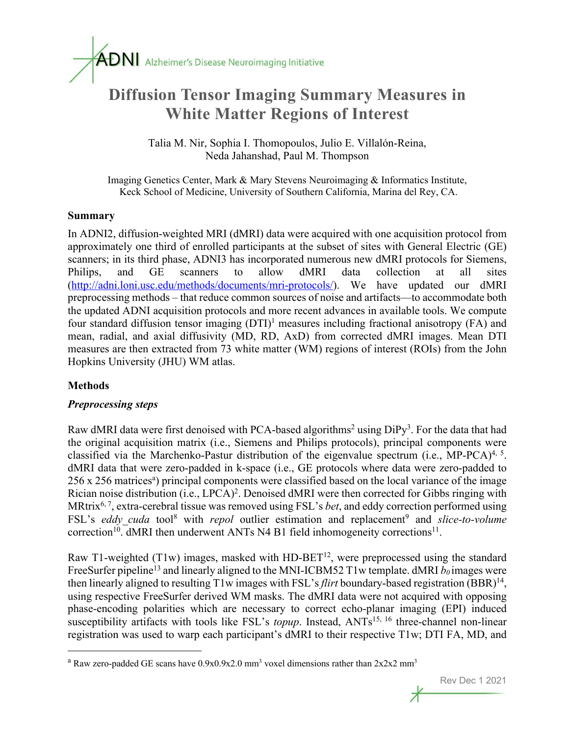# **Diffusion Tensor Imaging Summary Measures in White Matter Regions of Interest**

Talia M. Nir, Sophia I. Thomopoulos, Julio E. Villalón-Reina, Neda Jahanshad, Paul M. Thompson

Imaging Genetics Center, Mark & Mary Stevens Neuroimaging & Informatics Institute, Keck School of Medicine, University of Southern California, Marina del Rey, CA.

#### **Summary**

In ADNI2, diffusion-weighted MRI (dMRI) data were acquired with one acquisition protocol from approximately one third of enrolled participants at the subset of sites with General Electric (GE) scanners; in its third phase, ADNI3 has incorporated numerous new dMRI protocols for Siemens, Philips, and GE scanners to allow dMRI data collection at all sites (http://adni.loni.usc.edu/methods/documents/mri-protocols/). We have updated our dMRI preprocessing methods – that reduce common sources of noise and artifacts—to accommodate both the updated ADNI acquisition protocols and more recent advances in available tools. We compute four standard diffusion tensor imaging (DTI)<sup>1</sup> measures including fractional anisotropy (FA) and mean, radial, and axial diffusivity (MD, RD, AxD) from corrected dMRI images. Mean DTI measures are then extracted from 73 white matter (WM) regions of interest (ROIs) from the John Hopkins University (JHU) WM atlas.

# **Methods**

# *Preprocessing steps*

Raw dMRI data were first denoised with PCA-based algorithms<sup>2</sup> using  $DiPy<sup>3</sup>$ . For the data that had the original acquisition matrix (i.e., Siemens and Philips protocols), principal components were classified via the Marchenko-Pastur distribution of the eigenvalue spectrum (i.e., MP-PCA)<sup>4, 5</sup>. dMRI data that were zero-padded in k-space (i.e., GE protocols where data were zero-padded to 256 x 256 matrices<sup>a</sup>) principal components were classified based on the local variance of the image Rician noise distribution (i.e., LPCA)<sup>2</sup>. Denoised dMRI were then corrected for Gibbs ringing with MRtrix6, 7, extra-cerebral tissue was removed using FSL's *bet*, and eddy correction performed using FSL's *eddy* cuda tool<sup>8</sup> with *repol* outlier estimation and replacement<sup>9</sup> and *slice-to-volume* correction<sup>10</sup>. dMRI then underwent ANTs N4 B1 field inhomogeneity corrections<sup>11</sup>.

Raw T1-weighted (T1w) images, masked with HD-BET<sup>12</sup>, were preprocessed using the standard FreeSurfer pipeline<sup>13</sup> and linearly aligned to the MNI-ICBM52 T1w template. dMRI  $b_0$  images were then linearly aligned to resulting T1w images with FSL's *flirt* boundary-based registration (BBR)<sup>14</sup>, using respective FreeSurfer derived WM masks. The dMRI data were not acquired with opposing phase-encoding polarities which are necessary to correct echo-planar imaging (EPI) induced susceptibility artifacts with tools like FSL's *topup*. Instead, ANTs<sup>15, 16</sup> three-channel non-linear registration was used to warp each participant's dMRI to their respective T1w; DTI FA, MD, and

<sup>&</sup>lt;sup>a</sup> Raw zero-padded GE scans have  $0.9x0.9x2.0$  mm<sup>3</sup> voxel dimensions rather than  $2x2x2$  mm<sup>3</sup>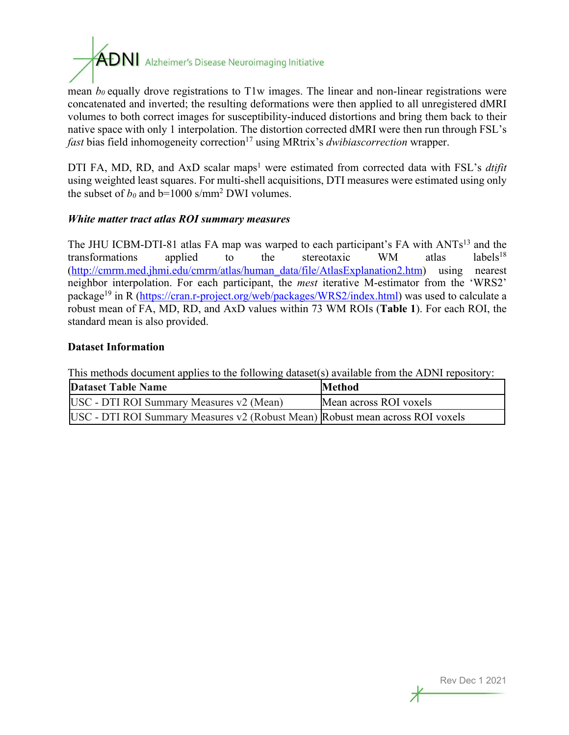

mean  $b_0$  equally drove registrations to T1w images. The linear and non-linear registrations were concatenated and inverted; the resulting deformations were then applied to all unregistered dMRI volumes to both correct images for susceptibility-induced distortions and bring them back to their native space with only 1 interpolation. The distortion corrected dMRI were then run through FSL's *fast* bias field inhomogeneity correction<sup>17</sup> using MRtrix's *dwibiascorrection* wrapper.

DTI FA, MD, RD, and AxD scalar maps<sup>1</sup> were estimated from corrected data with FSL's *dtifit* using weighted least squares. For multi-shell acquisitions, DTI measures were estimated using only the subset of  $b_0$  and  $b=1000$  s/mm<sup>2</sup> DWI volumes.

#### *White matter tract atlas ROI summary measures*

The JHU ICBM-DTI-81 atlas FA map was warped to each participant's FA with ANTs<sup>13</sup> and the transformations applied to the stereotaxic WM atlas labels<sup>18</sup> (http://cmrm.med.jhmi.edu/cmrm/atlas/human\_data/file/AtlasExplanation2.htm) using nearest neighbor interpolation. For each participant, the *mest* iterative M-estimator from the 'WRS2' package<sup>19</sup> in R (https://cran.r-project.org/web/packages/WRS2/index.html) was used to calculate a robust mean of FA, MD, RD, and AxD values within 73 WM ROIs (**Table 1**). For each ROI, the standard mean is also provided.

#### **Dataset Information**

This methods document applies to the following dataset(s) available from the ADNI repository:

| <b>Dataset Table Name</b>                                                     | <b>Method</b>          |
|-------------------------------------------------------------------------------|------------------------|
| USC - DTI ROI Summary Measures v2 (Mean)                                      | Mean across ROI voxels |
| USC - DTI ROI Summary Measures v2 (Robust Mean) Robust mean across ROI voxels |                        |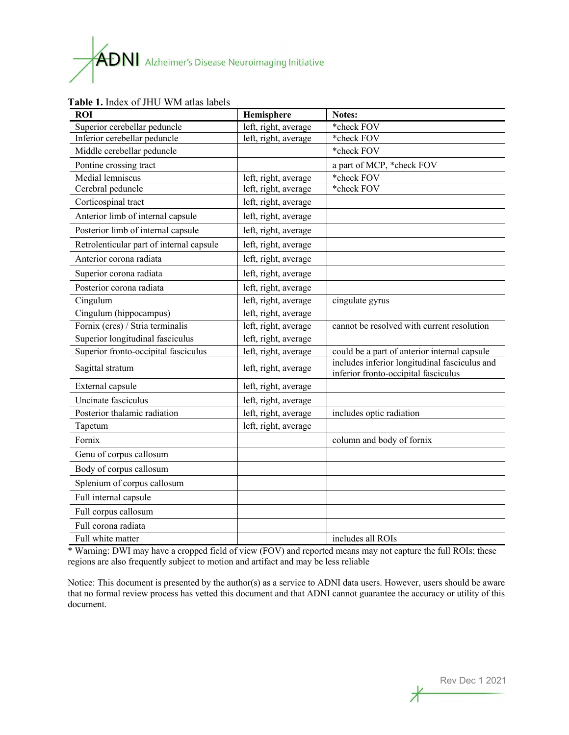# $\mathbf{A}\mathbf{D}\mathbf{N}\mathbf{I}$  Alzheimer's Disease Neuroimaging Initiative

| <b>ROI</b>                               | Hemisphere           | Notes:                                                                                |
|------------------------------------------|----------------------|---------------------------------------------------------------------------------------|
| Superior cerebellar peduncle             | left, right, average | *check FOV                                                                            |
| Inferior cerebellar peduncle             | left, right, average | *check FOV                                                                            |
| Middle cerebellar peduncle               |                      | *check FOV                                                                            |
| Pontine crossing tract                   |                      | a part of MCP, *check FOV                                                             |
| Medial lemniscus                         | left, right, average | *check FOV                                                                            |
| Cerebral peduncle                        | left, right, average | *check FOV                                                                            |
| Corticospinal tract                      | left, right, average |                                                                                       |
| Anterior limb of internal capsule        | left, right, average |                                                                                       |
| Posterior limb of internal capsule       | left, right, average |                                                                                       |
| Retrolenticular part of internal capsule | left, right, average |                                                                                       |
| Anterior corona radiata                  | left, right, average |                                                                                       |
| Superior corona radiata                  | left, right, average |                                                                                       |
| Posterior corona radiata                 | left, right, average |                                                                                       |
| Cingulum                                 | left, right, average | cingulate gyrus                                                                       |
| Cingulum (hippocampus)                   | left, right, average |                                                                                       |
| Fornix (cres) / Stria terminalis         | left, right, average | cannot be resolved with current resolution                                            |
| Superior longitudinal fasciculus         | left, right, average |                                                                                       |
| Superior fronto-occipital fasciculus     | left, right, average | could be a part of anterior internal capsule                                          |
| Sagittal stratum                         | left, right, average | includes inferior longitudinal fasciculus and<br>inferior fronto-occipital fasciculus |
| External capsule                         | left, right, average |                                                                                       |
| Uncinate fasciculus                      | left, right, average |                                                                                       |
| Posterior thalamic radiation             | left, right, average | includes optic radiation                                                              |
| Tapetum                                  | left, right, average |                                                                                       |
| Fornix                                   |                      | column and body of fornix                                                             |
| Genu of corpus callosum                  |                      |                                                                                       |
| Body of corpus callosum                  |                      |                                                                                       |
| Splenium of corpus callosum              |                      |                                                                                       |
| Full internal capsule                    |                      |                                                                                       |
| Full corpus callosum                     |                      |                                                                                       |
| Full corona radiata                      |                      |                                                                                       |
| Full white matter                        |                      | includes all ROIs                                                                     |

#### **Table 1.** Index of JHU WM atlas labels

\* Warning: DWI may have a cropped field of view (FOV) and reported means may not capture the full ROIs; these regions are also frequently subject to motion and artifact and may be less reliable

Notice: This document is presented by the author(s) as a service to ADNI data users. However, users should be aware that no formal review process has vetted this document and that ADNI cannot guarantee the accuracy or utility of this document.